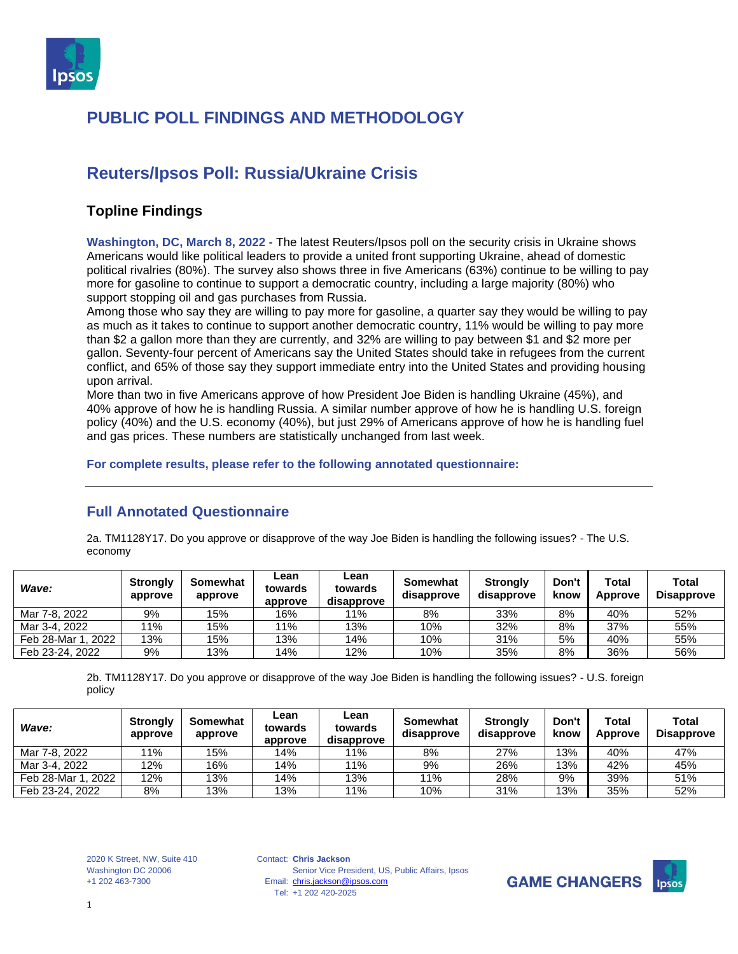

### **Reuters/Ipsos Poll: Russia/Ukraine Crisis**

#### **Topline Findings**

**Washington, DC, March 8, 2022** - The latest Reuters/Ipsos poll on the security crisis in Ukraine shows Americans would like political leaders to provide a united front supporting Ukraine, ahead of domestic political rivalries (80%). The survey also shows three in five Americans (63%) continue to be willing to pay more for gasoline to continue to support a democratic country, including a large majority (80%) who support stopping oil and gas purchases from Russia.

Among those who say they are willing to pay more for gasoline, a quarter say they would be willing to pay as much as it takes to continue to support another democratic country, 11% would be willing to pay more than \$2 a gallon more than they are currently, and 32% are willing to pay between \$1 and \$2 more per gallon. Seventy-four percent of Americans say the United States should take in refugees from the current conflict, and 65% of those say they support immediate entry into the United States and providing housing upon arrival.

More than two in five Americans approve of how President Joe Biden is handling Ukraine (45%), and 40% approve of how he is handling Russia. A similar number approve of how he is handling U.S. foreign policy (40%) and the U.S. economy (40%), but just 29% of Americans approve of how he is handling fuel and gas prices. These numbers are statistically unchanged from last week.

**For complete results, please refer to the following annotated questionnaire:**

#### **Full Annotated Questionnaire**

2a. TM1128Y17. Do you approve or disapprove of the way Joe Biden is handling the following issues? - The U.S. economy

| Wave:              | <b>Strongly</b><br>approve | Somewhat<br>approve | Lean<br>towards<br>approve | Lean<br>towards<br>disapprove | Somewhat<br>disapprove | <b>Strongly</b><br>disapprove | Don't<br>know | Total<br>Approve | Total<br><b>Disapprove</b> |
|--------------------|----------------------------|---------------------|----------------------------|-------------------------------|------------------------|-------------------------------|---------------|------------------|----------------------------|
| Mar 7-8, 2022      | 9%                         | 15%                 | 16%                        | 11%                           | 8%                     | 33%                           | 8%            | 40%              | 52%                        |
| Mar 3-4, 2022      | 11%                        | 15%                 | 11%                        | 13%                           | 10%                    | 32%                           | 8%            | 37%              | 55%                        |
| Feb 28-Mar 1, 2022 | 13%                        | 15%                 | 13%                        | 14%                           | 10%                    | 31%                           | 5%            | 40%              | 55%                        |
| Feb 23-24, 2022    | 9%                         | 13%                 | 14%                        | 12%                           | 10%                    | 35%                           | 8%            | 36%              | 56%                        |

2b. TM1128Y17. Do you approve or disapprove of the way Joe Biden is handling the following issues? - U.S. foreign policy

| Wave:              | <b>Strongly</b><br>approve | Somewhat<br>approve | Lean<br>towards<br>approve | Lean<br>towards<br>disapprove | Somewhat<br>disapprove | <b>Strongly</b><br>disapprove | Don't<br>know | Total<br>Approve | Total<br><b>Disapprove</b> |
|--------------------|----------------------------|---------------------|----------------------------|-------------------------------|------------------------|-------------------------------|---------------|------------------|----------------------------|
| Mar 7-8, 2022      | 11%                        | 15%                 | 14%                        | 11%                           | 8%                     | 27%                           | 13%           | 40%              | 47%                        |
| Mar 3-4, 2022      | 12%                        | 16%                 | 14%                        | 11%                           | 9%                     | 26%                           | 13%           | 42%              | 45%                        |
| Feb 28-Mar 1, 2022 | 12%                        | 13%                 | 14%                        | 13%                           | 11%                    | 28%                           | 9%            | 39%              | 51%                        |
| Feb 23-24, 2022    | 8%                         | 13%                 | 13%                        | 11%                           | 10%                    | 31%                           | 13%           | 35%              | 52%                        |

2020 K Street, NW, Suite 410 Washington DC 20006 +1 202 463-7300

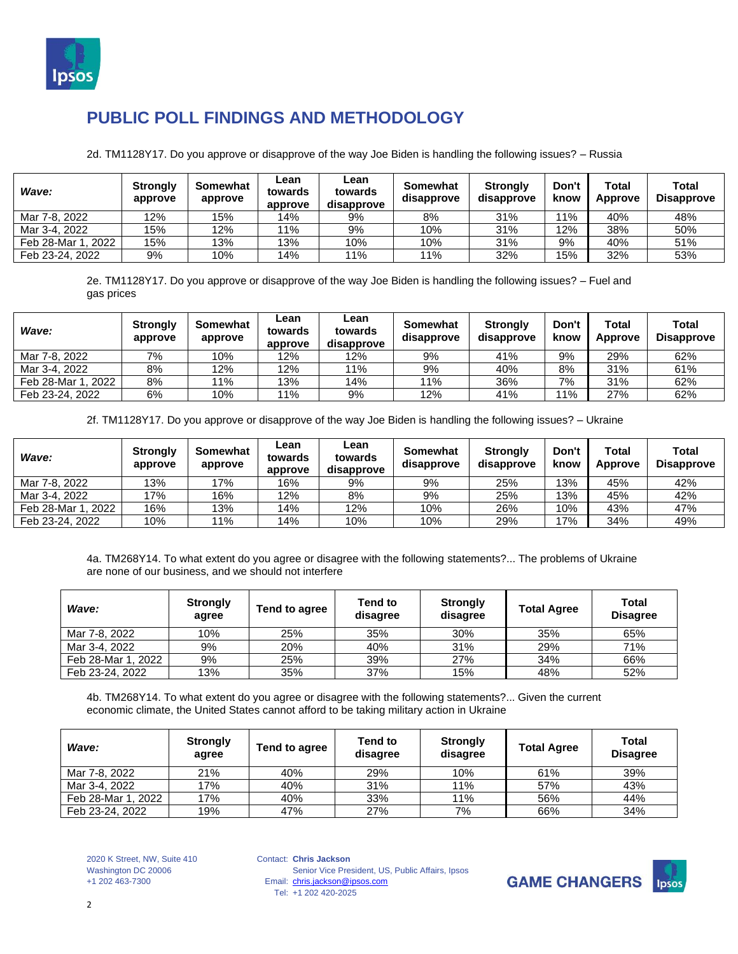

2d. TM1128Y17. Do you approve or disapprove of the way Joe Biden is handling the following issues? – Russia

| Wave:              | <b>Strongly</b><br>approve | Somewhat<br>approve | Lean<br>towards<br>approve | Lean<br>towards<br>disapprove | Somewhat<br>disapprove | <b>Strongly</b><br>disapprove | Don't<br>know | Total<br>Approve | <b>Total</b><br><b>Disapprove</b> |
|--------------------|----------------------------|---------------------|----------------------------|-------------------------------|------------------------|-------------------------------|---------------|------------------|-----------------------------------|
| Mar 7-8, 2022      | 12%                        | 15%                 | 14%                        | 9%                            | 8%                     | 31%                           | 11%           | 40%              | 48%                               |
| Mar 3-4, 2022      | 15%                        | 12%                 | 11%                        | 9%                            | 10%                    | 31%                           | 12%           | 38%              | 50%                               |
| Feb 28-Mar 1, 2022 | 15%                        | 13%                 | 13%                        | 10%                           | 10%                    | 31%                           | 9%            | 40%              | 51%                               |
| Feb 23-24, 2022    | 9%                         | 10%                 | 14%                        | 11%                           | 11%                    | 32%                           | 15%           | 32%              | 53%                               |

2e. TM1128Y17. Do you approve or disapprove of the way Joe Biden is handling the following issues? – Fuel and gas prices

| Wave:              | <b>Strongly</b><br>approve | Somewhat<br>approve | ∟ean<br>towards<br>approve | Lean<br>towards<br>disapprove | Somewhat<br>disapprove | <b>Strongly</b><br>disapprove | Don't<br>know | Total<br><b>Approve</b> | <b>Total</b><br><b>Disapprove</b> |
|--------------------|----------------------------|---------------------|----------------------------|-------------------------------|------------------------|-------------------------------|---------------|-------------------------|-----------------------------------|
| Mar 7-8, 2022      | 7%                         | 10%                 | 12%                        | 12%                           | 9%                     | 41%                           | 9%            | 29%                     | 62%                               |
| Mar 3-4, 2022      | 8%                         | 12%                 | 12%                        | 11%                           | 9%                     | 40%                           | 8%            | 31%                     | 61%                               |
| Feb 28-Mar 1, 2022 | 8%                         | 11%                 | 13%                        | 14%                           | 11%                    | 36%                           | 7%            | 31%                     | 62%                               |
| Feb 23-24, 2022    | 6%                         | 10%                 | 11%                        | 9%                            | 12%                    | 41%                           | 11%           | 27%                     | 62%                               |

2f. TM1128Y17. Do you approve or disapprove of the way Joe Biden is handling the following issues? – Ukraine

| Wave:              | <b>Strongly</b><br>approve | Somewhat<br>approve | Lean<br>towards<br>approve | Lean<br>towards<br>disapprove | Somewhat<br>disapprove | <b>Strongly</b><br>disapprove | Don't<br>know | Total<br>Approve | <b>Total</b><br><b>Disapprove</b> |
|--------------------|----------------------------|---------------------|----------------------------|-------------------------------|------------------------|-------------------------------|---------------|------------------|-----------------------------------|
| Mar 7-8, 2022      | 13%                        | 17%                 | 16%                        | 9%                            | 9%                     | 25%                           | 13%           | 45%              | 42%                               |
| Mar 3-4, 2022      | 17%                        | 16%                 | 12%                        | 8%                            | 9%                     | 25%                           | 13%           | 45%              | 42%                               |
| Feb 28-Mar 1, 2022 | 16%                        | 13%                 | 14%                        | 12%                           | 10%                    | 26%                           | 10%           | 43%              | 47%                               |
| Feb 23-24, 2022    | 10%                        | 11%                 | 14%                        | 10%                           | 10%                    | 29%                           | 7%            | 34%              | 49%                               |

4a. TM268Y14. To what extent do you agree or disagree with the following statements?... The problems of Ukraine are none of our business, and we should not interfere

| Wave:              | <b>Strongly</b><br>agree | Tend to agree | Tend to<br>disagree | <b>Strongly</b><br>disagree | <b>Total Agree</b> | Total<br><b>Disagree</b> |
|--------------------|--------------------------|---------------|---------------------|-----------------------------|--------------------|--------------------------|
| Mar 7-8, 2022      | 10%                      | 25%           | 35%                 | 30%                         | 35%                | 65%                      |
| Mar 3-4, 2022      | 9%                       | 20%           | 40%                 | 31%                         | 29%                | 71%                      |
| Feb 28-Mar 1, 2022 | 9%                       | 25%           | 39%                 | 27%                         | 34%                | 66%                      |
| Feb 23-24, 2022    | 13%                      | 35%           | 37%                 | 15%                         | 48%                | 52%                      |

4b. TM268Y14. To what extent do you agree or disagree with the following statements?... Given the current economic climate, the United States cannot afford to be taking military action in Ukraine

| Wave:              | <b>Strongly</b><br>agree | Tend to agree | Tend to<br>disagree | <b>Strongly</b><br>disagree | <b>Total Agree</b> | Total<br><b>Disagree</b> |
|--------------------|--------------------------|---------------|---------------------|-----------------------------|--------------------|--------------------------|
| Mar 7-8, 2022      | 21%                      | 40%           | 29%                 | 10%                         | 61%                | 39%                      |
| Mar 3-4, 2022      | 17%                      | 40%           | 31%                 | 11%                         | 57%                | 43%                      |
| Feb 28-Mar 1, 2022 | 17%                      | 40%           | 33%                 | 11%                         | 56%                | 44%                      |
| Feb 23-24, 2022    | 19%                      | 47%           | 27%                 | 7%                          | 66%                | 34%                      |

2020 K Street, NW, Suite 410 Washington DC 20006 +1 202 463-7300

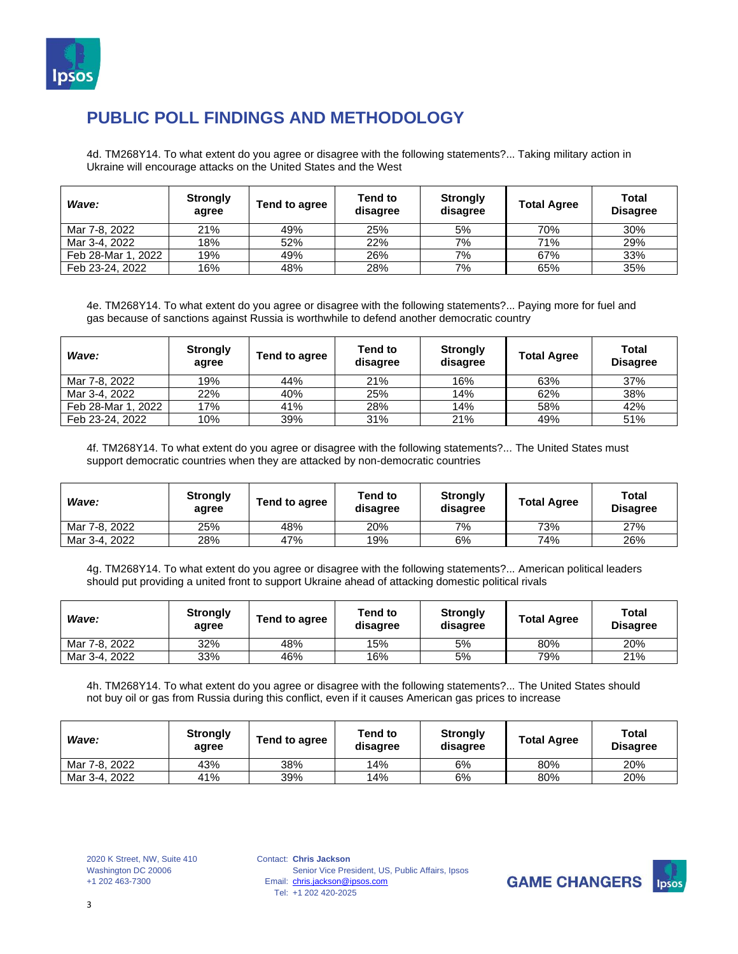

4d. TM268Y14. To what extent do you agree or disagree with the following statements?... Taking military action in Ukraine will encourage attacks on the United States and the West

| Wave:              | <b>Strongly</b><br>agree | Tend to agree | Tend to<br>disagree | <b>Strongly</b><br>disagree | <b>Total Agree</b> | Total<br><b>Disagree</b> |
|--------------------|--------------------------|---------------|---------------------|-----------------------------|--------------------|--------------------------|
| Mar 7-8, 2022      | 21%                      | 49%           | 25%                 | 5%                          | 70%                | 30%                      |
| Mar 3-4, 2022      | 18%                      | 52%           | 22%                 | 7%                          | 71%                | 29%                      |
| Feb 28-Mar 1, 2022 | 19%                      | 49%           | 26%                 | 7%                          | 67%                | 33%                      |
| Feb 23-24, 2022    | 16%                      | 48%           | 28%                 | 7%                          | 65%                | 35%                      |

4e. TM268Y14. To what extent do you agree or disagree with the following statements?... Paying more for fuel and gas because of sanctions against Russia is worthwhile to defend another democratic country

| Wave:              | <b>Strongly</b><br>agree | Tend to agree | Tend to<br>disagree | <b>Strongly</b><br>disagree | <b>Total Agree</b> | <b>Total</b><br><b>Disagree</b> |
|--------------------|--------------------------|---------------|---------------------|-----------------------------|--------------------|---------------------------------|
| Mar 7-8, 2022      | 19%                      | 44%           | 21%                 | 16%                         | 63%                | 37%                             |
| Mar 3-4, 2022      | 22%                      | 40%           | 25%                 | 14%                         | 62%                | 38%                             |
| Feb 28-Mar 1, 2022 | 17%                      | 41%           | 28%                 | 14%                         | 58%                | 42%                             |
| Feb 23-24, 2022    | 10%                      | 39%           | 31%                 | 21%                         | 49%                | 51%                             |

4f. TM268Y14. To what extent do you agree or disagree with the following statements?... The United States must support democratic countries when they are attacked by non-democratic countries

| Wave:         | <b>Strongly</b><br>agree | Tend to agree | Tend to<br>disagree | <b>Strongly</b><br>disagree | <b>Total Agree</b> | Total<br><b>Disagree</b> |
|---------------|--------------------------|---------------|---------------------|-----------------------------|--------------------|--------------------------|
| Mar 7-8, 2022 | 25%                      | 48%           | 20%                 | 7%                          | 73%                | 27%                      |
| Mar 3-4, 2022 | 28%                      | 47%           | 19%                 | 6%                          | 74%                | 26%                      |

4g. TM268Y14. To what extent do you agree or disagree with the following statements?... American political leaders should put providing a united front to support Ukraine ahead of attacking domestic political rivals

| Wave:         | <b>Strongly</b><br>agree | Tend to agree | Tend to<br>disagree | <b>Strongly</b><br>disagree | <b>Total Agree</b> | Total<br><b>Disagree</b> |
|---------------|--------------------------|---------------|---------------------|-----------------------------|--------------------|--------------------------|
| Mar 7-8, 2022 | 32%                      | 48%           | 15%                 | 5%                          | 80%                | 20%                      |
| Mar 3-4, 2022 | 33%                      | 46%           | 16%                 | 5%                          | 79%                | 21%                      |

4h. TM268Y14. To what extent do you agree or disagree with the following statements?... The United States should not buy oil or gas from Russia during this conflict, even if it causes American gas prices to increase

| Wave:         | <b>Strongly</b><br>agree | Tend to agree | <b>Tend to</b><br>disagree | <b>Strongly</b><br>disagree | <b>Total Agree</b> | Total<br><b>Disagree</b> |
|---------------|--------------------------|---------------|----------------------------|-----------------------------|--------------------|--------------------------|
| Mar 7-8, 2022 | 43%                      | 38%           | 14%                        | 6%                          | 80%                | 20%                      |
| Mar 3-4, 2022 | 41%                      | 39%           | 14%                        | 6%                          | 80%                | 20%                      |

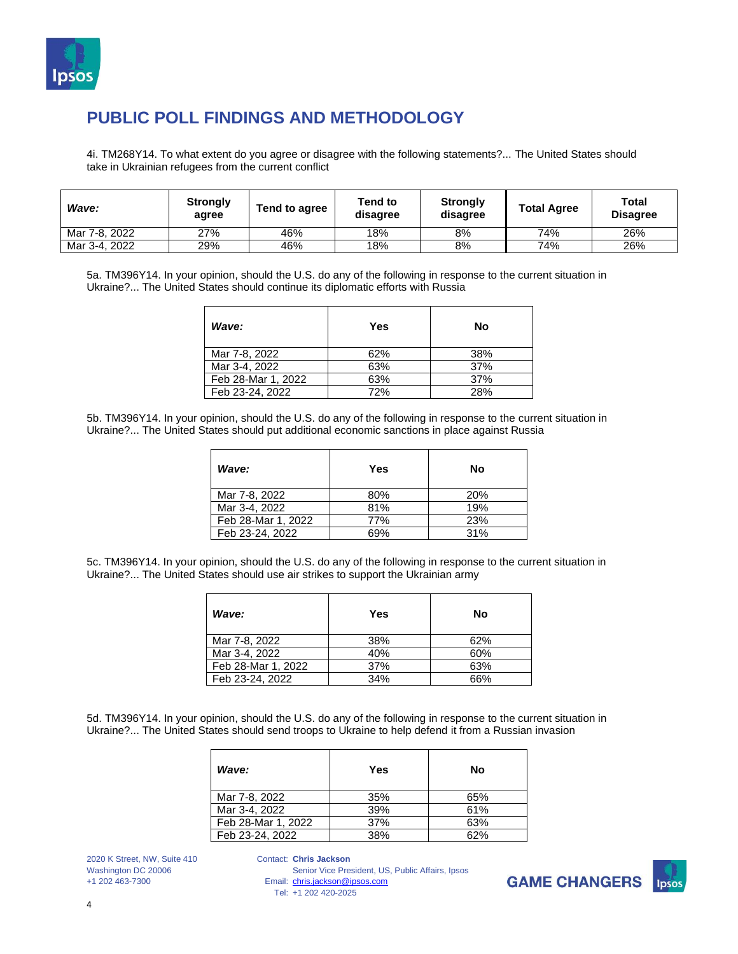

4i. TM268Y14. To what extent do you agree or disagree with the following statements?... The United States should take in Ukrainian refugees from the current conflict

| Wave:         | <b>Strongly</b><br>agree | Tend to agree | Tend to<br>disagree | <b>Strongly</b><br>disagree | <b>Total Agree</b> | Total<br><b>Disagree</b> |
|---------------|--------------------------|---------------|---------------------|-----------------------------|--------------------|--------------------------|
| Mar 7-8, 2022 | 27%                      | 46%           | 18%                 | 8%                          | 74%                | 26%                      |
| Mar 3-4, 2022 | 29%                      | 46%           | 18%                 | 8%                          | 74%                | 26%                      |

5a. TM396Y14. In your opinion, should the U.S. do any of the following in response to the current situation in Ukraine?... The United States should continue its diplomatic efforts with Russia

| Wave:              | Yes | Nο  |
|--------------------|-----|-----|
| Mar 7-8, 2022      | 62% | 38% |
| Mar 3-4, 2022      | 63% | 37% |
| Feb 28-Mar 1, 2022 | 63% | 37% |
| Feb 23-24, 2022    | 72% | 28% |

5b. TM396Y14. In your opinion, should the U.S. do any of the following in response to the current situation in Ukraine?... The United States should put additional economic sanctions in place against Russia

| Wave:              | Yes | No  |
|--------------------|-----|-----|
| Mar 7-8, 2022      | 80% | 20% |
| Mar 3-4, 2022      | 81% | 19% |
| Feb 28-Mar 1, 2022 | 77% | 23% |
| Feb 23-24, 2022    | 69% | 31% |

5c. TM396Y14. In your opinion, should the U.S. do any of the following in response to the current situation in Ukraine?... The United States should use air strikes to support the Ukrainian army

| Wave:              | Yes | No  |
|--------------------|-----|-----|
| Mar 7-8, 2022      | 38% | 62% |
| Mar 3-4, 2022      | 40% | 60% |
| Feb 28-Mar 1, 2022 | 37% | 63% |
| Feb 23-24, 2022    | 34% | 66% |

5d. TM396Y14. In your opinion, should the U.S. do any of the following in response to the current situation in Ukraine?... The United States should send troops to Ukraine to help defend it from a Russian invasion

| Wave:              | Yes | No  |
|--------------------|-----|-----|
| Mar 7-8, 2022      | 35% | 65% |
| Mar 3-4, 2022      | 39% | 61% |
| Feb 28-Mar 1, 2022 | 37% | 63% |
| Feb 23-24, 2022    | 38% | 62% |

2020 K Street, NW, Suite 410 Washington DC 20006 +1 202 463-7300

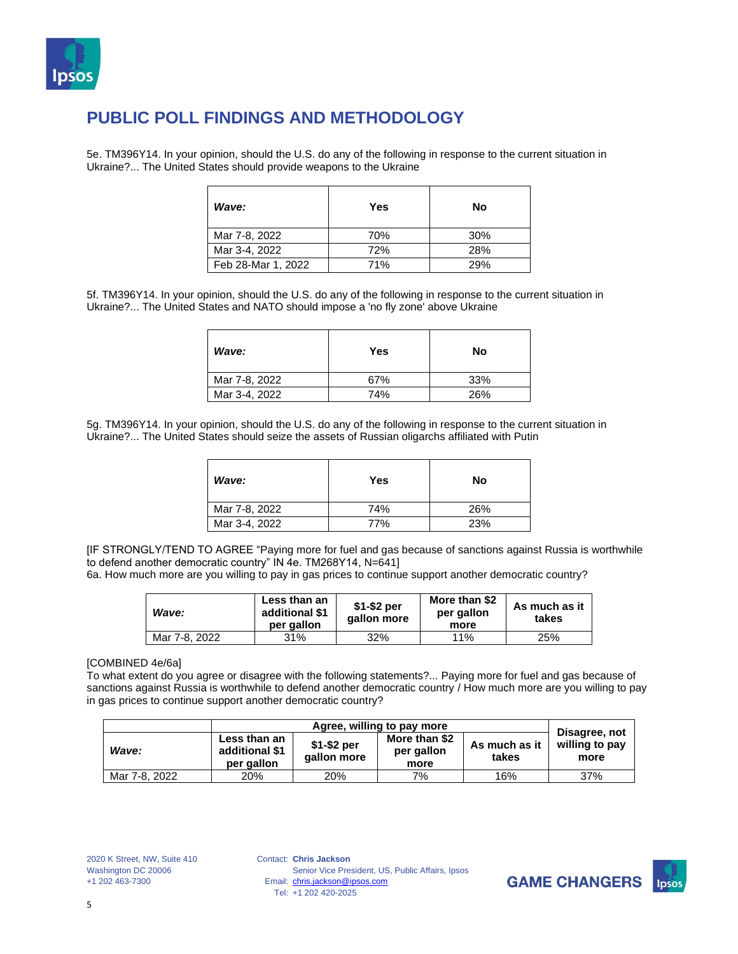

5e. TM396Y14. In your opinion, should the U.S. do any of the following in response to the current situation in Ukraine?... The United States should provide weapons to the Ukraine

| Wave:              | Yes | No  |
|--------------------|-----|-----|
| Mar 7-8, 2022      | 70% | 30% |
| Mar 3-4, 2022      | 72% | 28% |
| Feb 28-Mar 1, 2022 | 71% | 29% |

5f. TM396Y14. In your opinion, should the U.S. do any of the following in response to the current situation in Ukraine?... The United States and NATO should impose a 'no fly zone' above Ukraine

| Wave:         | Yes | No  |
|---------------|-----|-----|
| Mar 7-8, 2022 | 67% | 33% |
| Mar 3-4, 2022 | 74% | 26% |

5g. TM396Y14. In your opinion, should the U.S. do any of the following in response to the current situation in Ukraine?... The United States should seize the assets of Russian oligarchs affiliated with Putin

| Wave:         | Yes | No  |
|---------------|-----|-----|
| Mar 7-8, 2022 | 74% | 26% |
| Mar 3-4, 2022 | 77% | 23% |

[IF STRONGLY/TEND TO AGREE "Paying more for fuel and gas because of sanctions against Russia is worthwhile to defend another democratic country" IN 4e. TM268Y14, N=641]

6a. How much more are you willing to pay in gas prices to continue support another democratic country?

| Wave:         | Less than an<br>additional \$1<br>per gallon | $$1-$2 per$<br>gallon more | More than \$2<br>per gallon<br>more | As much as it<br>takes |
|---------------|----------------------------------------------|----------------------------|-------------------------------------|------------------------|
| Mar 7-8, 2022 | 31%                                          | 32%                        | 11%                                 | 25%                    |

#### [COMBINED 4e/6a]

To what extent do you agree or disagree with the following statements?... Paying more for fuel and gas because of sanctions against Russia is worthwhile to defend another democratic country / How much more are you willing to pay in gas prices to continue support another democratic country?

|               | Agree, willing to pay more                   |                            |                                     |                        |                                         |
|---------------|----------------------------------------------|----------------------------|-------------------------------------|------------------------|-----------------------------------------|
| Wave:         | Less than an<br>additional \$1<br>per gallon | $$1-$2 per$<br>gallon more | More than \$2<br>per gallon<br>more | As much as it<br>takes | Disagree, not<br>willing to pay<br>more |
| Mar 7-8, 2022 | 20%                                          | 20%                        | 7%                                  | 16%                    | 37%                                     |

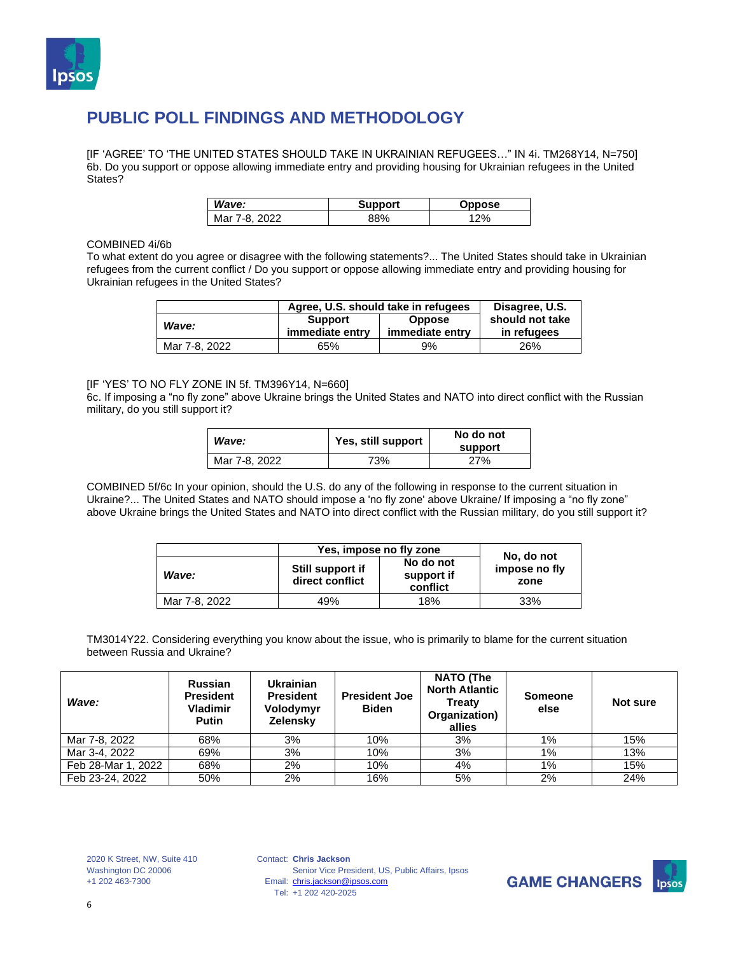

[IF 'AGREE' TO 'THE UNITED STATES SHOULD TAKE IN UKRAINIAN REFUGEES…" IN 4i. TM268Y14, N=750] 6b. Do you support or oppose allowing immediate entry and providing housing for Ukrainian refugees in the United States?

| Wave:         | <b>Support</b> | Oppose |
|---------------|----------------|--------|
| Mar 7-8, 2022 | 38%            | 2%     |

#### COMBINED 4i/6b

To what extent do you agree or disagree with the following statements?... The United States should take in Ukrainian refugees from the current conflict / Do you support or oppose allowing immediate entry and providing housing for Ukrainian refugees in the United States?

|               | Agree, U.S. should take in refugees                                   | Disagree, U.S. |                                |
|---------------|-----------------------------------------------------------------------|----------------|--------------------------------|
| Wave:         | <b>Support</b><br><b>Oppose</b><br>immediate entry<br>immediate entry |                | should not take<br>in refugees |
| Mar 7-8, 2022 | 65%                                                                   | 9%             | 26%                            |

#### [IF 'YES' TO NO FLY ZONE IN 5f. TM396Y14, N=660]

6c. If imposing a "no fly zone" above Ukraine brings the United States and NATO into direct conflict with the Russian military, do you still support it?

| Wave:         | Yes, still support | No do not<br>support |
|---------------|--------------------|----------------------|
| Mar 7-8, 2022 | 73%                | 27%                  |

COMBINED 5f/6c In your opinion, should the U.S. do any of the following in response to the current situation in Ukraine?... The United States and NATO should impose a 'no fly zone' above Ukraine/ If imposing a "no fly zone" above Ukraine brings the United States and NATO into direct conflict with the Russian military, do you still support it?

|               | Yes, impose no fly zone             |                                     |                                     |  |
|---------------|-------------------------------------|-------------------------------------|-------------------------------------|--|
| Wave:         | Still support if<br>direct conflict | No do not<br>support if<br>conflict | No, do not<br>impose no fly<br>zone |  |
| Mar 7-8, 2022 | 49%                                 | 18%                                 | 33%                                 |  |

TM3014Y22. Considering everything you know about the issue, who is primarily to blame for the current situation between Russia and Ukraine?

| Wave:              | <b>Russian</b><br><b>President</b><br><b>Vladimir</b><br><b>Putin</b> | <b>Ukrainian</b><br><b>President</b><br>Volodymyr<br>Zelensky | <b>President Joe</b><br><b>Biden</b> | <b>NATO (The</b><br><b>North Atlantic</b><br><b>Treaty</b><br>Organization)<br>allies | <b>Someone</b><br>else | Not sure |
|--------------------|-----------------------------------------------------------------------|---------------------------------------------------------------|--------------------------------------|---------------------------------------------------------------------------------------|------------------------|----------|
| Mar 7-8, 2022      | 68%                                                                   | 3%                                                            | 10%                                  | 3%                                                                                    | $1\%$                  | 15%      |
| Mar 3-4, 2022      | 69%                                                                   | 3%                                                            | 10%                                  | 3%                                                                                    | $1\%$                  | 13%      |
| Feb 28-Mar 1, 2022 | 68%                                                                   | 2%                                                            | 10%                                  | 4%                                                                                    | $1\%$                  | 15%      |
| Feb 23-24, 2022    | 50%                                                                   | 2%                                                            | 16%                                  | 5%                                                                                    | 2%                     | 24%      |

2020 K Street, NW, Suite 410 Washington DC 20006 +1 202 463-7300

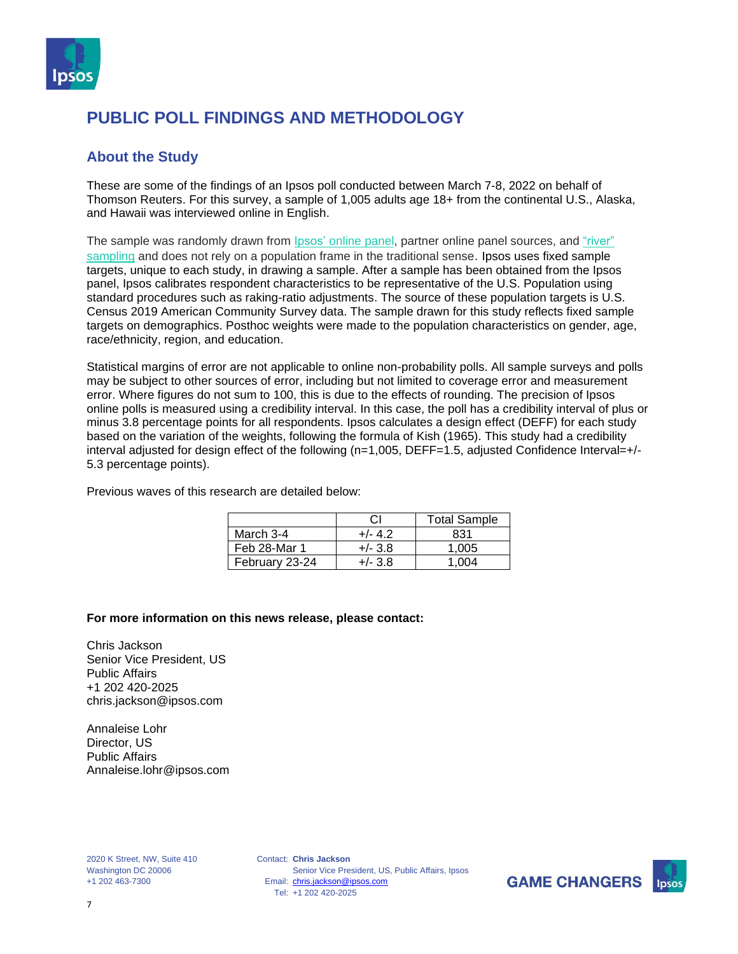

#### **About the Study**

These are some of the findings of an Ipsos poll conducted between March 7-8, 2022 on behalf of Thomson Reuters. For this survey, a sample of 1,005 adults age 18+ from the continental U.S., Alaska, and Hawaii was interviewed online in English.

The sample was randomly drawn from Ipsos' [online](https://www.ipsos.com/en-us/public-opinion-polling-downloads) panel, partner online panel sources, and ["river"](https://www.ipsos.com/en-us/public-opinion-polling-downloads) [sampling](https://www.ipsos.com/en-us/public-opinion-polling-downloads) and does not rely on a population frame in the traditional sense. Ipsos uses fixed sample targets, unique to each study, in drawing a sample. After a sample has been obtained from the Ipsos panel, Ipsos calibrates respondent characteristics to be representative of the U.S. Population using standard procedures such as raking-ratio adjustments. The source of these population targets is U.S. Census 2019 American Community Survey data. The sample drawn for this study reflects fixed sample targets on demographics. Posthoc weights were made to the population characteristics on gender, age, race/ethnicity, region, and education.

Statistical margins of error are not applicable to online non-probability polls. All sample surveys and polls may be subject to other sources of error, including but not limited to coverage error and measurement error. Where figures do not sum to 100, this is due to the effects of rounding. The precision of Ipsos online polls is measured using a credibility interval. In this case, the poll has a credibility interval of plus or minus 3.8 percentage points for all respondents. Ipsos calculates a design effect (DEFF) for each study based on the variation of the weights, following the formula of Kish (1965). This study had a credibility interval adjusted for design effect of the following (n=1,005, DEFF=1.5, adjusted Confidence Interval=+/- 5.3 percentage points).

Previous waves of this research are detailed below:

|                | СI        | <b>Total Sample</b> |
|----------------|-----------|---------------------|
| March 3-4      | $+/- 4.2$ | 831                 |
| Feb 28-Mar 1   | $+/- 3.8$ | 1.005               |
| February 23-24 | $+/- 3.8$ | 1.004               |

#### **For more information on this news release, please contact:**

Chris Jackson Senior Vice President, US Public Affairs +1 202 420-2025 chris.jackson@ipsos.com

Annaleise Lohr Director, US Public Affairs Annaleise.lohr@ipsos.com

2020 K Street, NW, Suite 410 Washington DC 20006 +1 202 463-7300